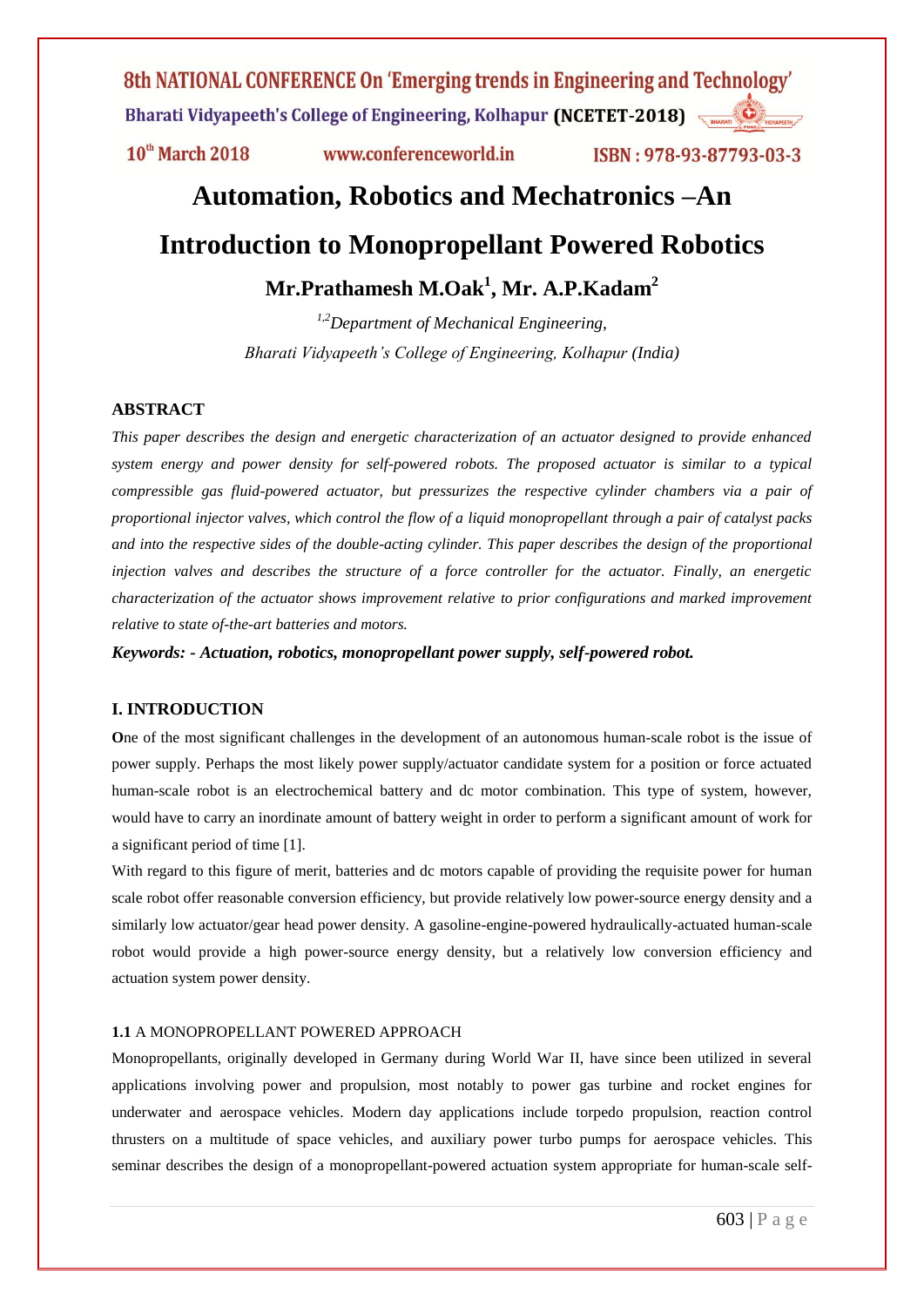$10<sup>th</sup>$  March 2018

www.conferenceworld.in

ISBN: 978-93-87793-03-3

# **Automation, Robotics and Mechatronics –An**

# **Introduction to Monopropellant Powered Robotics**

**Mr.Prathamesh M.Oak<sup>1</sup> , Mr. A.P.Kadam<sup>2</sup>**

*1,2Department of Mechanical Engineering, Bharati Vidyapeeth's College of Engineering, Kolhapur (India)*

#### **ABSTRACT**

*This paper describes the design and energetic characterization of an actuator designed to provide enhanced system energy and power density for self-powered robots. The proposed actuator is similar to a typical compressible gas fluid-powered actuator, but pressurizes the respective cylinder chambers via a pair of proportional injector valves, which control the flow of a liquid monopropellant through a pair of catalyst packs and into the respective sides of the double-acting cylinder. This paper describes the design of the proportional injection valves and describes the structure of a force controller for the actuator. Finally, an energetic characterization of the actuator shows improvement relative to prior configurations and marked improvement relative to state of-the-art batteries and motors.*

*Keywords: - Actuation, robotics, monopropellant power supply, self-powered robot.*

#### **I. INTRODUCTION**

**O**ne of the most significant challenges in the development of an autonomous human-scale robot is the issue of power supply. Perhaps the most likely power supply/actuator candidate system for a position or force actuated human-scale robot is an electrochemical battery and dc motor combination. This type of system, however, would have to carry an inordinate amount of battery weight in order to perform a significant amount of work for a significant period of time [1].

With regard to this figure of merit, batteries and dc motors capable of providing the requisite power for human scale robot offer reasonable conversion efficiency, but provide relatively low power-source energy density and a similarly low actuator/gear head power density. A gasoline-engine-powered hydraulically-actuated human-scale robot would provide a high power-source energy density, but a relatively low conversion efficiency and actuation system power density.

#### **1.1** A MONOPROPELLANT POWERED APPROACH

Monopropellants, originally developed in Germany during World War II, have since been utilized in several applications involving power and propulsion, most notably to power gas turbine and rocket engines for underwater and aerospace vehicles. Modern day applications include torpedo propulsion, reaction control thrusters on a multitude of space vehicles, and auxiliary power turbo pumps for aerospace vehicles. This seminar describes the design of a monopropellant-powered actuation system appropriate for human-scale self-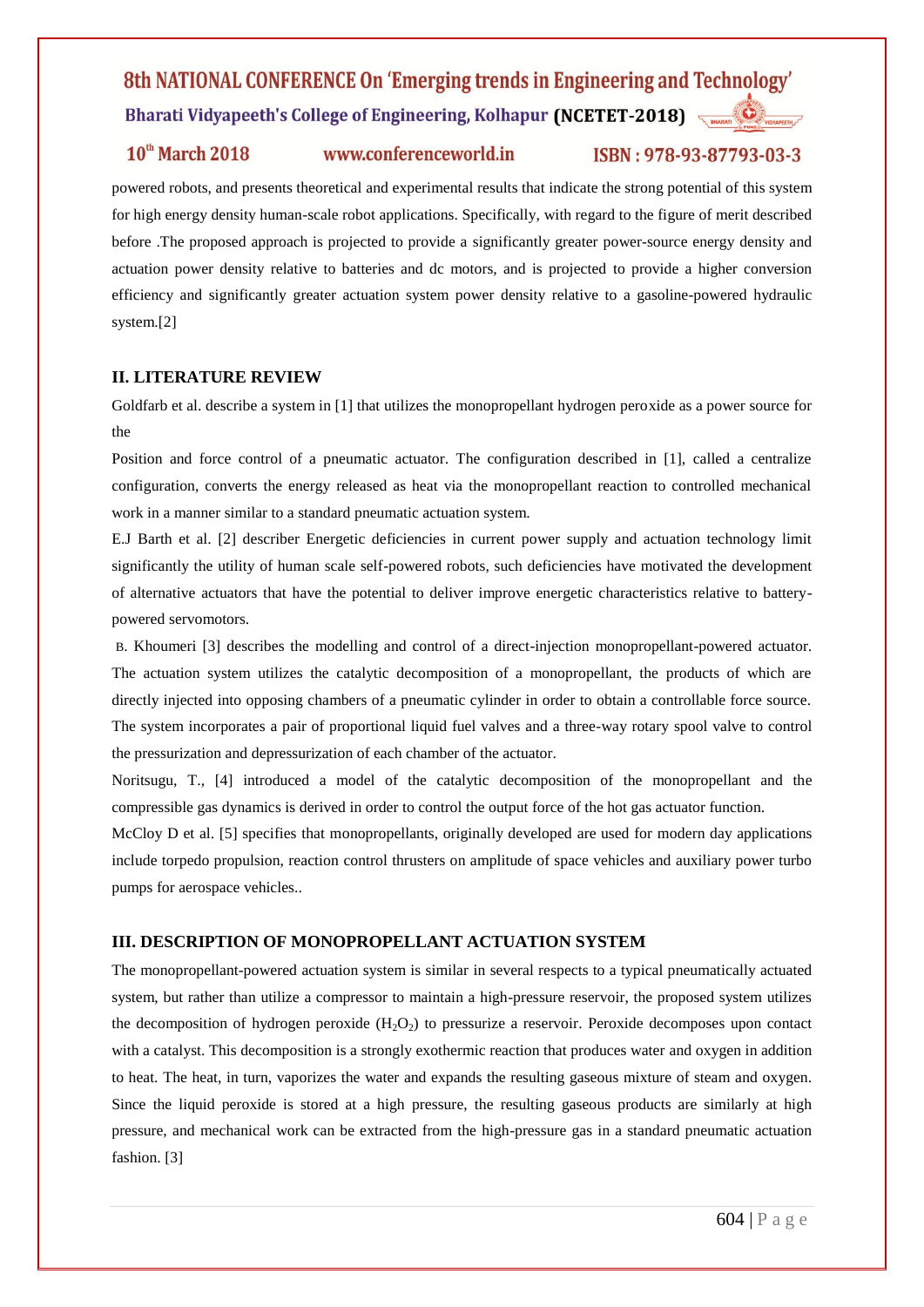#### $10<sup>th</sup>$  March 2018

## www.conferenceworld.in

## ISBN: 978-93-87793-03-3

powered robots, and presents theoretical and experimental results that indicate the strong potential of this system for high energy density human-scale robot applications. Specifically, with regard to the figure of merit described before .The proposed approach is projected to provide a significantly greater power-source energy density and actuation power density relative to batteries and dc motors, and is projected to provide a higher conversion efficiency and significantly greater actuation system power density relative to a gasoline-powered hydraulic system.<sup>[2]</sup>

## **II. LITERATURE REVIEW**

Goldfarb et al. describe a system in [1] that utilizes the monopropellant hydrogen peroxide as a power source for the

Position and force control of a pneumatic actuator. The configuration described in [1], called a centralize configuration, converts the energy released as heat via the monopropellant reaction to controlled mechanical work in a manner similar to a standard pneumatic actuation system.

E.J Barth et al. [2] describer Energetic deficiencies in current power supply and actuation technology limit significantly the utility of human scale self-powered robots, such deficiencies have motivated the development of alternative actuators that have the potential to deliver improve energetic characteristics relative to batterypowered servomotors.

B. Khoumeri [3] describes the modelling and control of a direct-injection monopropellant-powered actuator. The actuation system utilizes the catalytic decomposition of a monopropellant, the products of which are directly injected into opposing chambers of a pneumatic cylinder in order to obtain a controllable force source. The system incorporates a pair of proportional liquid fuel valves and a three-way rotary spool valve to control the pressurization and depressurization of each chamber of the actuator.

Noritsugu, T., [4] introduced a model of the catalytic decomposition of the monopropellant and the compressible gas dynamics is derived in order to control the output force of the hot gas actuator function.

McCloy D et al. [5] specifies that monopropellants, originally developed are used for modern day applications include torpedo propulsion, reaction control thrusters on amplitude of space vehicles and auxiliary power turbo pumps for aerospace vehicles..

#### **III. DESCRIPTION OF MONOPROPELLANT ACTUATION SYSTEM**

The monopropellant-powered actuation system is similar in several respects to a typical pneumatically actuated system, but rather than utilize a compressor to maintain a high-pressure reservoir, the proposed system utilizes the decomposition of hydrogen peroxide  $(H_2O_2)$  to pressurize a reservoir. Peroxide decomposes upon contact with a catalyst. This decomposition is a strongly exothermic reaction that produces water and oxygen in addition to heat. The heat, in turn, vaporizes the water and expands the resulting gaseous mixture of steam and oxygen. Since the liquid peroxide is stored at a high pressure, the resulting gaseous products are similarly at high pressure, and mechanical work can be extracted from the high-pressure gas in a standard pneumatic actuation fashion. [3]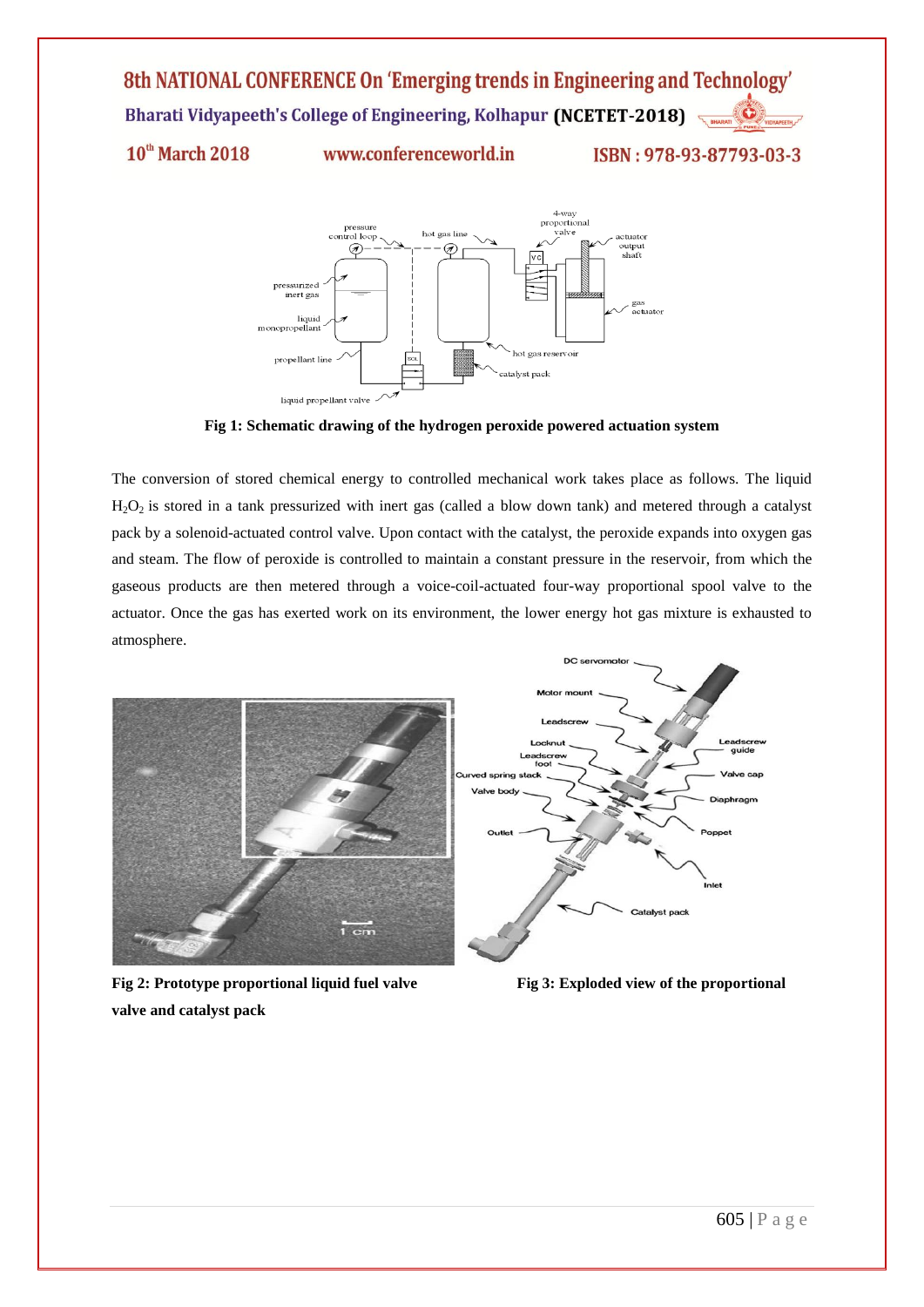10<sup>th</sup> March 2018

www.conferenceworld.in

ISBN: 978-93-87793-03-3



**Fig 1: Schematic drawing of the hydrogen peroxide powered actuation system**

The conversion of stored chemical energy to controlled mechanical work takes place as follows. The liquid  $H<sub>2</sub>O<sub>2</sub>$  is stored in a tank pressurized with inert gas (called a blow down tank) and metered through a catalyst pack by a solenoid-actuated control valve. Upon contact with the catalyst, the peroxide expands into oxygen gas and steam. The flow of peroxide is controlled to maintain a constant pressure in the reservoir, from which the gaseous products are then metered through a voice-coil-actuated four-way proportional spool valve to the actuator. Once the gas has exerted work on its environment, the lower energy hot gas mixture is exhausted to atmosphere.



**Fig 2: Prototype proportional liquid fuel valve Fig 3: Exploded view of the proportional valve and catalyst pack**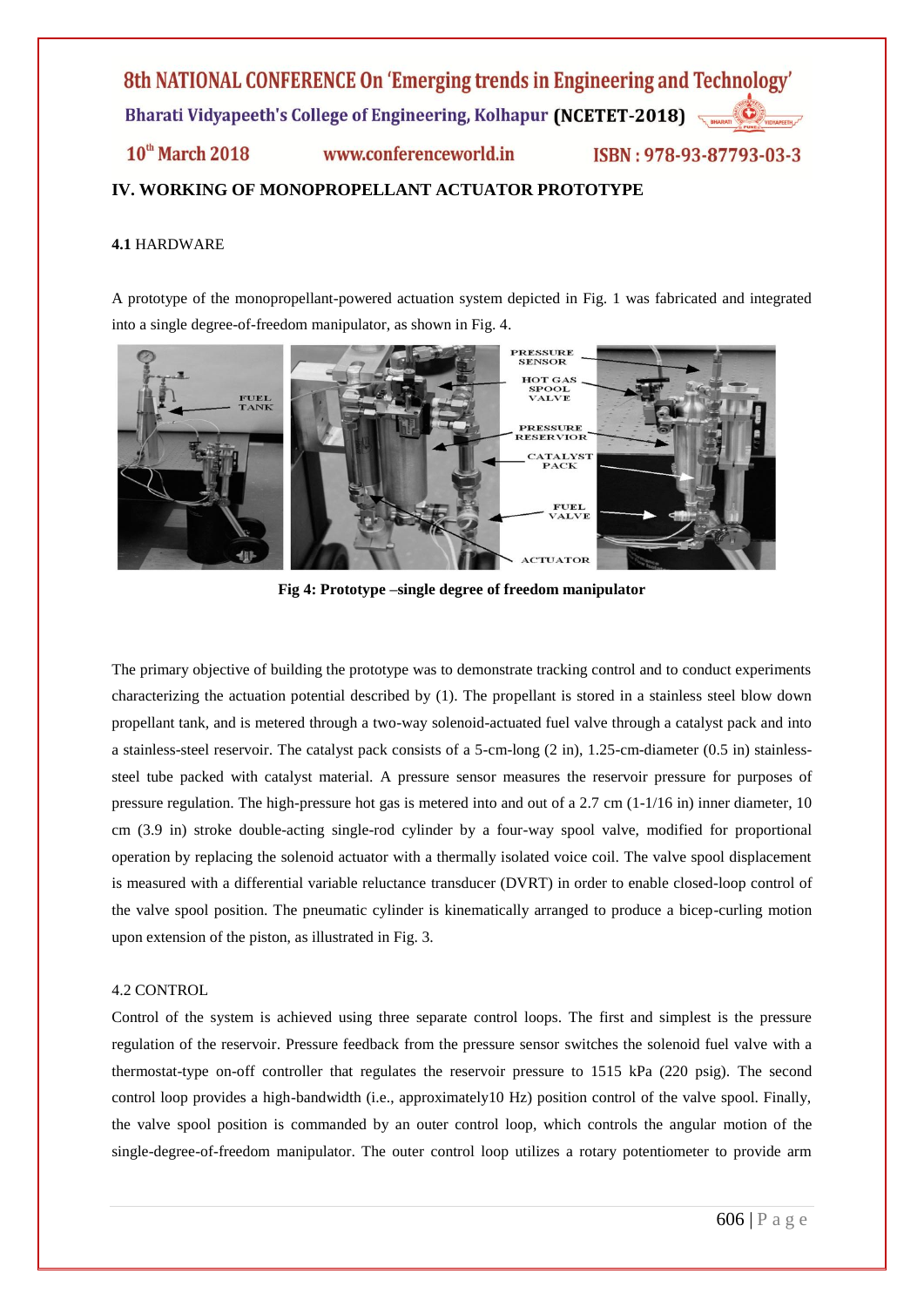$10<sup>th</sup>$  March 2018 www.conferenceworld.in ISBN: 978-93-87793-03-3

## **IV. WORKING OF MONOPROPELLANT ACTUATOR PROTOTYPE**

#### **4.1** HARDWARE

A prototype of the monopropellant-powered actuation system depicted in Fig. 1 was fabricated and integrated into a single degree-of-freedom manipulator, as shown in Fig. 4.



**Fig 4: Prototype –single degree of freedom manipulator**

The primary objective of building the prototype was to demonstrate tracking control and to conduct experiments characterizing the actuation potential described by (1). The propellant is stored in a stainless steel blow down propellant tank, and is metered through a two-way solenoid-actuated fuel valve through a catalyst pack and into a stainless-steel reservoir. The catalyst pack consists of a 5-cm-long (2 in), 1.25-cm-diameter (0.5 in) stainlesssteel tube packed with catalyst material. A pressure sensor measures the reservoir pressure for purposes of pressure regulation. The high-pressure hot gas is metered into and out of a 2.7 cm (1-1/16 in) inner diameter, 10 cm (3.9 in) stroke double-acting single-rod cylinder by a four-way spool valve, modified for proportional operation by replacing the solenoid actuator with a thermally isolated voice coil. The valve spool displacement is measured with a differential variable reluctance transducer (DVRT) in order to enable closed-loop control of the valve spool position. The pneumatic cylinder is kinematically arranged to produce a bicep-curling motion upon extension of the piston, as illustrated in Fig. 3.

#### 4.2 CONTROL

Control of the system is achieved using three separate control loops. The first and simplest is the pressure regulation of the reservoir. Pressure feedback from the pressure sensor switches the solenoid fuel valve with a thermostat-type on-off controller that regulates the reservoir pressure to 1515 kPa (220 psig). The second control loop provides a high-bandwidth (i.e., approximately10 Hz) position control of the valve spool. Finally, the valve spool position is commanded by an outer control loop, which controls the angular motion of the single-degree-of-freedom manipulator. The outer control loop utilizes a rotary potentiometer to provide arm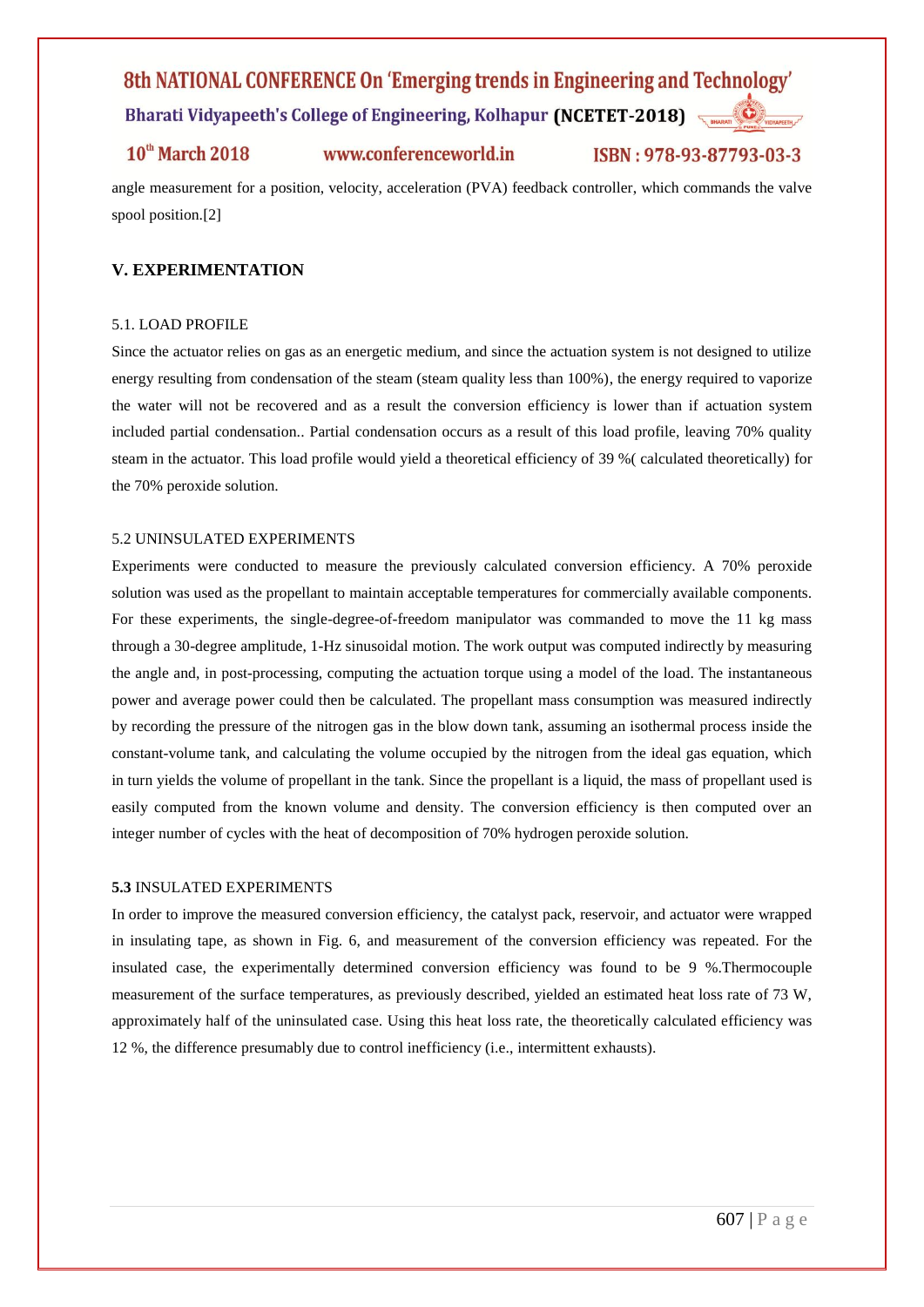# 8th NATIONAL CONFERENCE On 'Emerging trends in Engineering and Technology'

Bharati Vidyapeeth's College of Engineering, Kolhapur (NCETET-2018)

## $10<sup>th</sup>$  March 2018

www.conferenceworld.in

### ISBN: 978-93-87793-03-3

angle measurement for a position, velocity, acceleration (PVA) feedback controller, which commands the valve spool position.[2]

#### **V. EXPERIMENTATION**

#### 5.1. LOAD PROFILE

Since the actuator relies on gas as an energetic medium, and since the actuation system is not designed to utilize energy resulting from condensation of the steam (steam quality less than 100%), the energy required to vaporize the water will not be recovered and as a result the conversion efficiency is lower than if actuation system included partial condensation.. Partial condensation occurs as a result of this load profile, leaving 70% quality steam in the actuator. This load profile would yield a theoretical efficiency of 39 %( calculated theoretically) for the 70% peroxide solution.

#### 5.2 UNINSULATED EXPERIMENTS

Experiments were conducted to measure the previously calculated conversion efficiency. A 70% peroxide solution was used as the propellant to maintain acceptable temperatures for commercially available components. For these experiments, the single-degree-of-freedom manipulator was commanded to move the 11 kg mass through a 30-degree amplitude, 1-Hz sinusoidal motion. The work output was computed indirectly by measuring the angle and, in post-processing, computing the actuation torque using a model of the load. The instantaneous power and average power could then be calculated. The propellant mass consumption was measured indirectly by recording the pressure of the nitrogen gas in the blow down tank, assuming an isothermal process inside the constant-volume tank, and calculating the volume occupied by the nitrogen from the ideal gas equation, which in turn yields the volume of propellant in the tank. Since the propellant is a liquid, the mass of propellant used is easily computed from the known volume and density. The conversion efficiency is then computed over an integer number of cycles with the heat of decomposition of 70% hydrogen peroxide solution.

#### **5.3** INSULATED EXPERIMENTS

In order to improve the measured conversion efficiency, the catalyst pack, reservoir, and actuator were wrapped in insulating tape, as shown in Fig. 6, and measurement of the conversion efficiency was repeated. For the insulated case, the experimentally determined conversion efficiency was found to be 9 %.Thermocouple measurement of the surface temperatures, as previously described, yielded an estimated heat loss rate of 73 W, approximately half of the uninsulated case. Using this heat loss rate, the theoretically calculated efficiency was 12 %, the difference presumably due to control inefficiency (i.e., intermittent exhausts).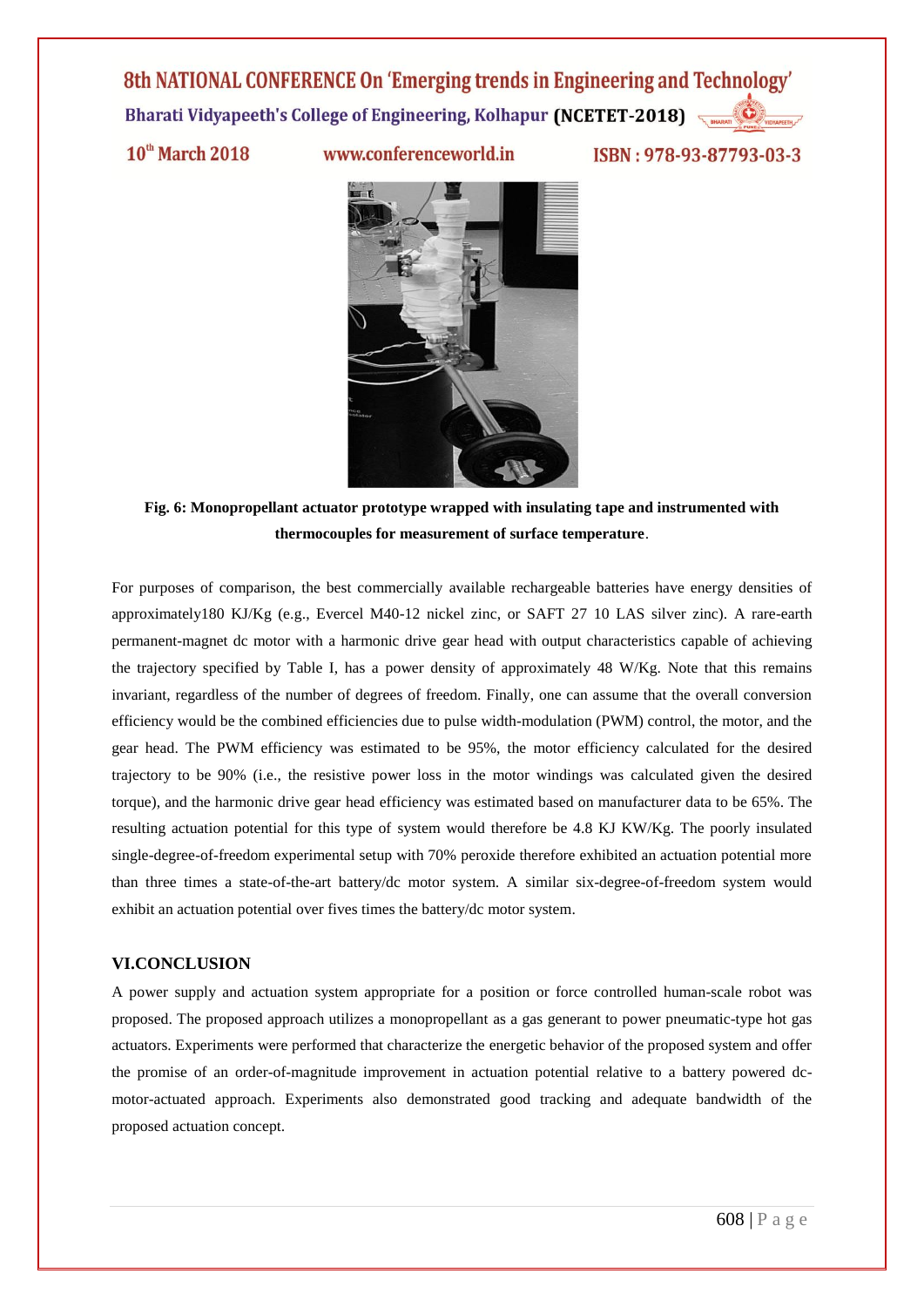$10<sup>th</sup>$  March 2018

www.conferenceworld.in

ISBN: 978-93-87793-03-3



**Fig. 6: Monopropellant actuator prototype wrapped with insulating tape and instrumented with thermocouples for measurement of surface temperature**.

For purposes of comparison, the best commercially available rechargeable batteries have energy densities of approximately180 KJ/Kg (e.g., Evercel M40-12 nickel zinc, or SAFT 27 10 LAS silver zinc). A rare-earth permanent-magnet dc motor with a harmonic drive gear head with output characteristics capable of achieving the trajectory specified by Table I, has a power density of approximately 48 W/Kg. Note that this remains invariant, regardless of the number of degrees of freedom. Finally, one can assume that the overall conversion efficiency would be the combined efficiencies due to pulse width-modulation (PWM) control, the motor, and the gear head. The PWM efficiency was estimated to be 95%, the motor efficiency calculated for the desired trajectory to be 90% (i.e., the resistive power loss in the motor windings was calculated given the desired torque), and the harmonic drive gear head efficiency was estimated based on manufacturer data to be 65%. The resulting actuation potential for this type of system would therefore be 4.8 KJ KW/Kg. The poorly insulated single-degree-of-freedom experimental setup with 70% peroxide therefore exhibited an actuation potential more than three times a state-of-the-art battery/dc motor system. A similar six-degree-of-freedom system would exhibit an actuation potential over fives times the battery/dc motor system.

#### **VI.CONCLUSION**

A power supply and actuation system appropriate for a position or force controlled human-scale robot was proposed. The proposed approach utilizes a monopropellant as a gas generant to power pneumatic-type hot gas actuators. Experiments were performed that characterize the energetic behavior of the proposed system and offer the promise of an order-of-magnitude improvement in actuation potential relative to a battery powered dcmotor-actuated approach. Experiments also demonstrated good tracking and adequate bandwidth of the proposed actuation concept.